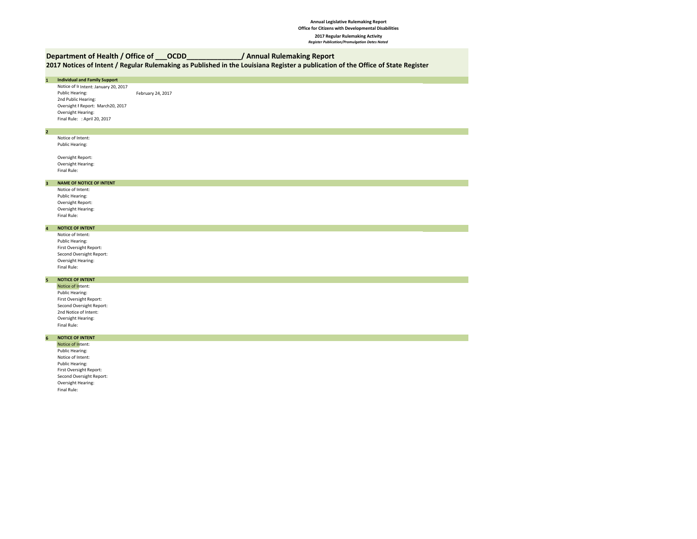#### **Annual Legislative Rulemaking Report Office for Citizens with Developmental Disabilities 2017 Regular Rulemaking Activity** *Register Publication/Promulgation Dates Noted*

## **Department of Health / Office of \_\_\_OCDD\_\_\_\_\_\_\_\_\_\_\_\_\_\_/ Annual Rulemaking Report**

Oversight Hearing: Final Rule:

**2017 Notices of Intent / Regular Rulemaking as Published in the Louisiana Register a publication of the Office of State Register**

| $\mathbf 1$             | <b>Individual and Family Support</b>  |                   |
|-------------------------|---------------------------------------|-------------------|
|                         | Notice of Ir Intent: January 20, 2017 |                   |
|                         | Public Hearing:                       | February 24, 2017 |
|                         | 2nd Public Hearing:                   |                   |
|                         | Oversight F Report: March20, 2017     |                   |
|                         | Oversight Hearing:                    |                   |
|                         | Final Rule: : April 20, 2017          |                   |
|                         |                                       |                   |
| $\overline{\mathbf{2}}$ |                                       |                   |
|                         | Notice of Intent:                     |                   |
|                         | Public Hearing:                       |                   |
|                         | Oversight Report:                     |                   |
|                         | Oversight Hearing:                    |                   |
|                         | Final Rule:                           |                   |
|                         |                                       |                   |
| $\overline{\mathbf{3}}$ | <b>NAME OF NOTICE OF INTENT</b>       |                   |
|                         | Notice of Intent:                     |                   |
|                         | Public Hearing:                       |                   |
|                         | Oversight Report:                     |                   |
|                         | Oversight Hearing:                    |                   |
|                         | Final Rule:                           |                   |
|                         | <b>NOTICE OF INTENT</b>               |                   |
| $\overline{\mathbf{4}}$ | Notice of Intent:                     |                   |
|                         | Public Hearing:                       |                   |
|                         | First Oversight Report:               |                   |
|                         | Second Oversight Report:              |                   |
|                         | Oversight Hearing:                    |                   |
|                         | Final Rule:                           |                   |
|                         |                                       |                   |
| 5                       | <b>NOTICE OF INTENT</b>               |                   |
|                         | Notice of Intent:                     |                   |
|                         | Public Hearing:                       |                   |
|                         | First Oversight Report:               |                   |
|                         | Second Oversight Report:              |                   |
|                         | 2nd Notice of Intent:                 |                   |
|                         | Oversight Hearing:                    |                   |
|                         | Final Rule:                           |                   |
| $6\overline{6}$         | <b>NOTICE OF INTENT</b>               |                   |
|                         | Notice of Intent:                     |                   |
|                         | Public Hearing:                       |                   |
|                         | Notice of Intent:                     |                   |
|                         | Public Hearing:                       |                   |
|                         | First Oversight Report:               |                   |
|                         | Second Oversight Report:              |                   |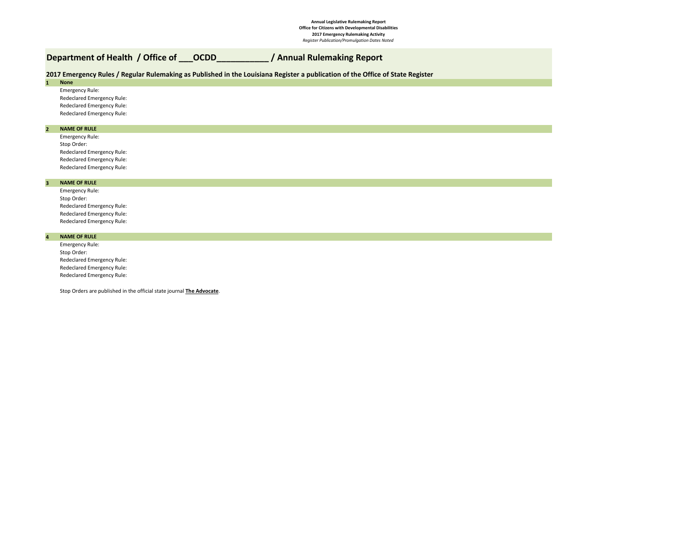#### **Annual Legislative Rulemaking Report Office for Citizens with Developmental Disabilities 2017 Emergency Rulemaking Activity** *Register Publication/Promulgation Dates Noted*

# **Department of Health / Office of \_\_\_OCDD\_\_\_\_\_\_\_\_\_\_\_ / Annual Rulemaking Report**

### **2017 Emergency Rules / Regular Rulemaking as Published in the Louisiana Register a publication of the Office of State Register**

**1 None**

Emergency Rule: Redeclared Emergency Rule: Redeclared Emergency Rule: Redeclared Emergency Rule:

#### **2 NAME OF RULE**

Emergency Rule: Stop Order: Redeclared Emergency Rule: Redeclared Emergency Rule: Redeclared Emergency Rule:

#### **3 NAME OF RULE**

Emergency Rule: Stop Order: Redeclared Emergency Rule: Redeclared Emergency Rule: Redeclared Emergency Rule:

#### **NAME OF RULE**

**4**

Emergency Rule: Stop Order: Redeclared Emergency Rule: Redeclared Emergency Rule: Redeclared Emergency Rule:

Stop Orders are published in the official state journal **The Advocate**.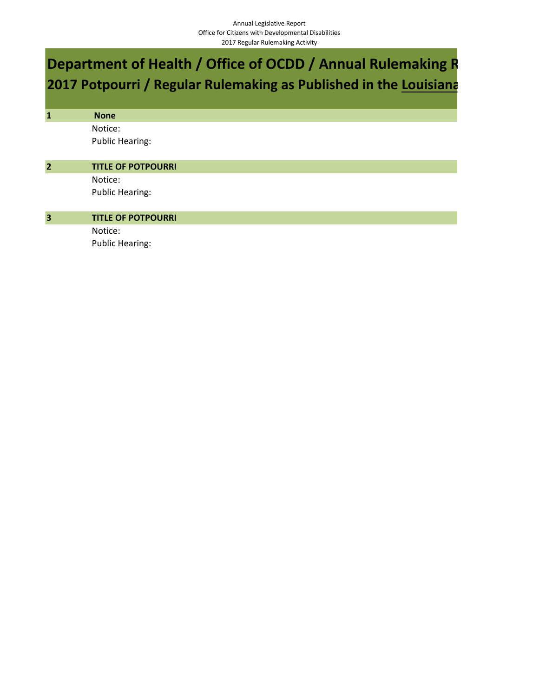# **Department of Health / Office of OCDD / Annual Rulemaking R 2017 Potpourri / Regular Rulemaking as Published in the Louisiana**

| $\mathbf{1}$            | <b>None</b>               |
|-------------------------|---------------------------|
|                         | Notice:                   |
|                         | <b>Public Hearing:</b>    |
|                         |                           |
| $\overline{2}$          | <b>TITLE OF POTPOURRI</b> |
|                         | Notice:                   |
|                         | <b>Public Hearing:</b>    |
| $\overline{\mathbf{3}}$ | <b>TITLE OF POTPOURRI</b> |
|                         |                           |
|                         | Notice:                   |
|                         | <b>Public Hearing:</b>    |
|                         |                           |